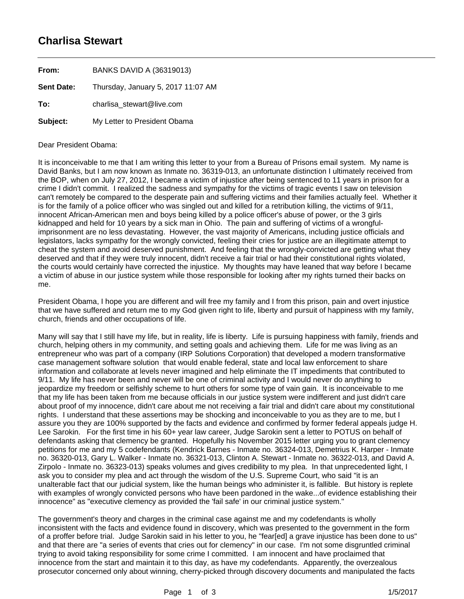## **Charlisa Stewart**

| From:             | <b>BANKS DAVID A (36319013)</b>    |
|-------------------|------------------------------------|
| <b>Sent Date:</b> | Thursday, January 5, 2017 11:07 AM |
| To:               | charlisa stewart@live.com          |
| Subject:          | My Letter to President Obama       |

## Dear President Obama:

It is inconceivable to me that I am writing this letter to your from a Bureau of Prisons email system. My name is David Banks, but I am now known as Inmate no. 36319-013, an unfortunate distinction I ultimately received from the BOP, when on July 27, 2012, I became a victim of injustice after being sentenced to 11 years in prison for a crime I didn't commit. I realized the sadness and sympathy for the victims of tragic events I saw on television can't remotely be compared to the desperate pain and suffering victims and their families actually feel. Whether it is for the family of a police officer who was singled out and killed for a retribution killing, the victims of 9/11, innocent African-American men and boys being killed by a police officer's abuse of power, or the 3 girls kidnapped and held for 10 years by a sick man in Ohio. The pain and suffering of victims of a wrongfulimprisonment are no less devastating. However, the vast majority of Americans, including justice officials and legislators, lacks sympathy for the wrongly convicted, feeling their cries for justice are an illegitimate attempt to cheat the system and avoid deserved punishment. And feeling that the wrongly-convicted are getting what they deserved and that if they were truly innocent, didn't receive a fair trial or had their constitutional rights violated, the courts would certainly have corrected the injustice. My thoughts may have leaned that way before I became a victim of abuse in our justice system while those responsible for looking after my rights turned their backs on me.

President Obama, I hope you are different and will free my family and I from this prison, pain and overt injustice that we have suffered and return me to my God given right to life, liberty and pursuit of happiness with my family, church, friends and other occupations of life.

Many will say that I still have my life, but in reality, life is liberty. Life is pursuing happiness with family, friends and church, helping others in my community, and setting goals and achieving them. Life for me was living as an entrepreneur who was part of a company (IRP Solutions Corporation) that developed a modern transformative case management software solution that would enable federal, state and local law enforcement to share information and collaborate at levels never imagined and help eliminate the IT impediments that contributed to 9/11. My life has never been and never will be one of criminal activity and I would never do anything to jeopardize my freedom or selfishly scheme to hurt others for some type of vain gain. It is inconceivable to me that my life has been taken from me because officials in our justice system were indifferent and just didn't care about proof of my innocence, didn't care about me not receiving a fair trial and didn't care about my constitutional rights. I understand that these assertions may be shocking and inconceivable to you as they are to me, but I assure you they are 100% supported by the facts and evidence and confirmed by former federal appeals judge H. Lee Sarokin. For the first time in his 60+ year law career, Judge Sarokin sent a letter to POTUS on behalf of defendants asking that clemency be granted. Hopefully his November 2015 letter urging you to grant clemency petitions for me and my 5 codefendants (Kendrick Barnes - Inmate no. 36324-013, Demetrius K. Harper - Inmate no. 36320-013, Gary L. Walker - Inmate no. 36321-013, Clinton A. Stewart - Inmate no. 36322-013, and David A. Zirpolo - Inmate no. 36323-013) speaks volumes and gives credibility to my plea. In that unprecedented light, I ask you to consider my plea and act through the wisdom of the U.S. Supreme Court, who said "it is an unalterable fact that our judicial system, like the human beings who administer it, is fallible. But history is replete with examples of wrongly convicted persons who have been pardoned in the wake...of evidence establishing their innocence" as "executive clemency as provided the 'fail safe' in our criminal justice system."

The government's theory and charges in the criminal case against me and my codefendants is wholly inconsistent with the facts and evidence found in discovery, which was presented to the government in the form of a proffer before trial. Judge Sarokin said in his letter to you, he "fear[ed] a grave injustice has been done to us" and that there are "a series of events that cries out for clemency" in our case. I'm not some disgruntled criminal trying to avoid taking responsibility for some crime I committed. I am innocent and have proclaimed that innocence from the start and maintain it to this day, as have my codefendants. Apparently, the overzealous prosecutor concerned only about winning, cherry-picked through discovery documents and manipulated the facts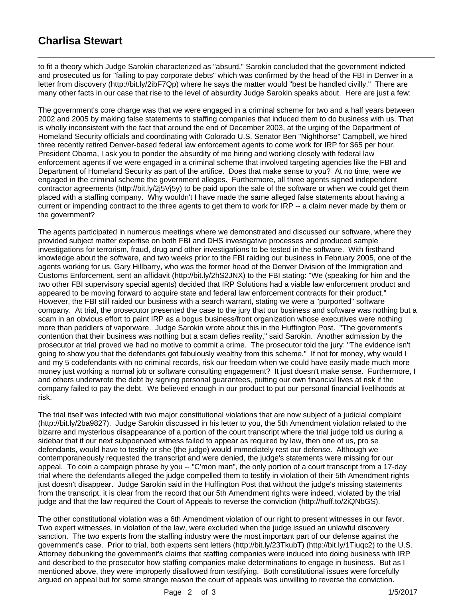## **Charlisa Stewart**

to fit a theory which Judge Sarokin characterized as "absurd." Sarokin concluded that the government indicted and prosecuted us for "failing to pay corporate debts" which was confirmed by the head of the FBI in Denver in a letter from discovery (http://bit.ly/2ibF7Qp) where he says the matter would "best be handled civilly." There are many other facts in our case that rise to the level of absurdity Judge Sarokin speaks about. Here are just a few:

The government's core charge was that we were engaged in a criminal scheme for two and a half years between 2002 and 2005 by making false statements to staffing companies that induced them to do business with us. That is wholly inconsistent with the fact that around the end of December 2003, at the urging of the Department of Homeland Security officials and coordinating with Colorado U.S. Senator Ben "Nighthorse" Campbell, we hired three recently retired Denver-based federal law enforcement agents to come work for IRP for \$65 per hour. President Obama, I ask you to ponder the absurdity of me hiring and working closely with federal law enforcement agents if we were engaged in a criminal scheme that involved targeting agencies like the FBI and Department of Homeland Security as part of the artifice. Does that make sense to you? At no time, were we engaged in the criminal scheme the government alleges. Furthermore, all three agents signed independent contractor agreements (http://bit.ly/2j5Vj5y) to be paid upon the sale of the software or when we could get them placed with a staffing company. Why wouldn't I have made the same alleged false statements about having a current or impending contract to the three agents to get them to work for IRP -- a claim never made by them or the government?

The agents participated in numerous meetings where we demonstrated and discussed our software, where they provided subject matter expertise on both FBI and DHS investigative processes and produced sample investigations for terrorism, fraud, drug and other investigations to be tested in the software. With firsthand knowledge about the software, and two weeks prior to the FBI raiding our business in February 2005, one of the agents working for us, Gary Hillbarry, who was the former head of the Denver Division of the Immigration and Customs Enforcement, sent an affidavit (http://bit.ly/2hS2JNX) to the FBI stating: "We (speaking for him and the two other FBI supervisory special agents) decided that IRP Solutions had a viable law enforcement product and appeared to be moving forward to acquire state and federal law enforcement contracts for their product." However, the FBI still raided our business with a search warrant, stating we were a "purported" software company. At trial, the prosecutor presented the case to the jury that our business and software was nothing but a scam in an obvious effort to paint IRP as a bogus business/front organization whose executives were nothing more than peddlers of vaporware. Judge Sarokin wrote about this in the Huffington Post. "The government's contention that their business was nothing but a scam defies reality," said Sarokin. Another admission by the prosecutor at trial proved we had no motive to commit a crime. The prosecutor told the jury: "The evidence isn't going to show you that the defendants got fabulously wealthy from this scheme." If not for money, why would I and my 5 codefendants with no criminal records, risk our freedom when we could have easily made much more money just working a normal job or software consulting engagement? It just doesn't make sense. Furthermore, I and others underwrote the debt by signing personal guarantees, putting our own financial lives at risk if the company failed to pay the debt. We believed enough in our product to put our personal financial livelihoods at risk.

The trial itself was infected with two major constitutional violations that are now subject of a judicial complaint (http://bit.ly/2ba9827). Judge Sarokin discussed in his letter to you, the 5th Amendment violation related to the bizarre and mysterious disappearance of a portion of the court transcript where the trial judge told us during a sidebar that if our next subpoenaed witness failed to appear as required by law, then one of us, pro se defendants, would have to testify or she (the judge) would immediately rest our defense. Although we contemporaneously requested the transcript and were denied, the judge's statements were missing for our appeal. To coin a campaign phrase by you -- "C'mon man", the only portion of a court transcript from a 17-day trial where the defendants alleged the judge compelled them to testify in violation of their 5th Amendment rights just doesn't disappear. Judge Sarokin said in the Huffington Post that without the judge's missing statements from the transcript, it is clear from the record that our 5th Amendment rights were indeed, violated by the trial judge and that the law required the Court of Appeals to reverse the conviction (http://huff.to/2iQNbGS).

The other constitutional violation was a 6th Amendment violation of our right to present witnesses in our favor. Two expert witnesses, in violation of the law, were excluded when the judge issued an unlawful discovery sanction. The two experts from the staffing industry were the most important part of our defense against the government's case. Prior to trial, both experts sent letters (http://bit.ly/23TkubT) (http://bit.ly/1Tiuqc2) to the U.S. Attorney debunking the government's claims that staffing companies were induced into doing business with IRP and described to the prosecutor how staffing companies make determinations to engage in business. But as I mentioned above, they were improperly disallowed from testifying. Both constitutional issues were forcefully argued on appeal but for some strange reason the court of appeals was unwilling to reverse the conviction.